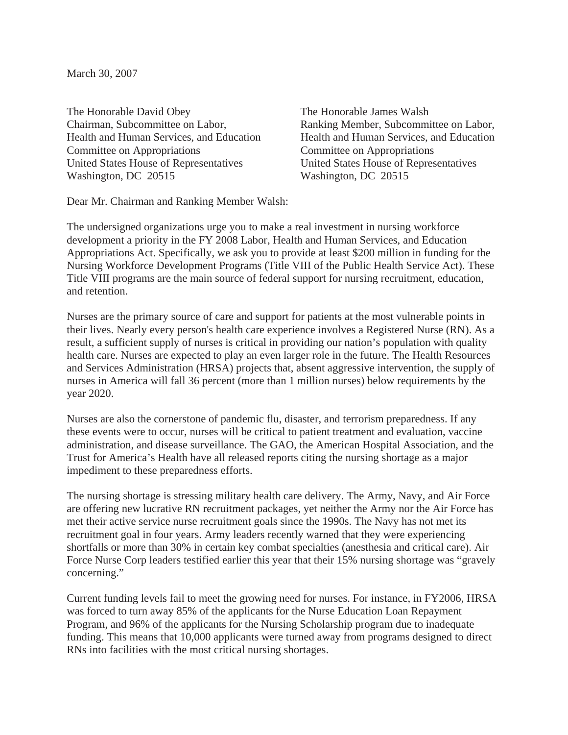March 30, 2007

The Honorable David Obey The Honorable James Walsh Chairman, Subcommittee on Labor, Ranking Member, Subcommittee on Labor, Health and Human Services, and Education Health and Human Services, and Education Committee on Appropriations Committee on Appropriations United States House of Representatives United States House of Representatives Washington, DC 20515 Washington, DC 20515

Dear Mr. Chairman and Ranking Member Walsh:

The undersigned organizations urge you to make a real investment in nursing workforce development a priority in the FY 2008 Labor, Health and Human Services, and Education Appropriations Act. Specifically, we ask you to provide at least \$200 million in funding for the Nursing Workforce Development Programs (Title VIII of the Public Health Service Act). These Title VIII programs are the main source of federal support for nursing recruitment, education, and retention.

Nurses are the primary source of care and support for patients at the most vulnerable points in their lives. Nearly every person's health care experience involves a Registered Nurse (RN). As a result, a sufficient supply of nurses is critical in providing our nation's population with quality health care. Nurses are expected to play an even larger role in the future. The Health Resources and Services Administration (HRSA) projects that, absent aggressive intervention, the supply of nurses in America will fall 36 percent (more than 1 million nurses) below requirements by the year 2020.

Nurses are also the cornerstone of pandemic flu, disaster, and terrorism preparedness. If any these events were to occur, nurses will be critical to patient treatment and evaluation, vaccine administration, and disease surveillance. The GAO, the American Hospital Association, and the Trust for America's Health have all released reports citing the nursing shortage as a major impediment to these preparedness efforts.

The nursing shortage is stressing military health care delivery. The Army, Navy, and Air Force are offering new lucrative RN recruitment packages, yet neither the Army nor the Air Force has met their active service nurse recruitment goals since the 1990s. The Navy has not met its recruitment goal in four years. Army leaders recently warned that they were experiencing shortfalls or more than 30% in certain key combat specialties (anesthesia and critical care). Air Force Nurse Corp leaders testified earlier this year that their 15% nursing shortage was "gravely concerning."

Current funding levels fail to meet the growing need for nurses. For instance, in FY2006, HRSA was forced to turn away 85% of the applicants for the Nurse Education Loan Repayment Program, and 96% of the applicants for the Nursing Scholarship program due to inadequate funding. This means that 10,000 applicants were turned away from programs designed to direct RNs into facilities with the most critical nursing shortages.